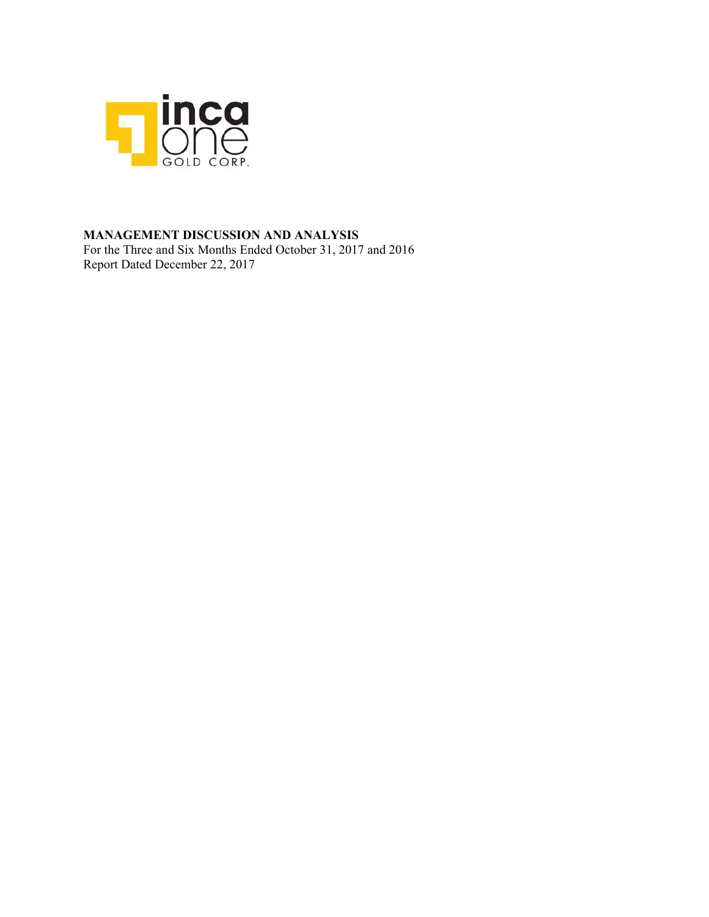

### **MANAGEMENT DISCUSSION AND ANALYSIS**

For the Three and Six Months Ended October 31, 2017 and 2016 Report Dated December 22, 2017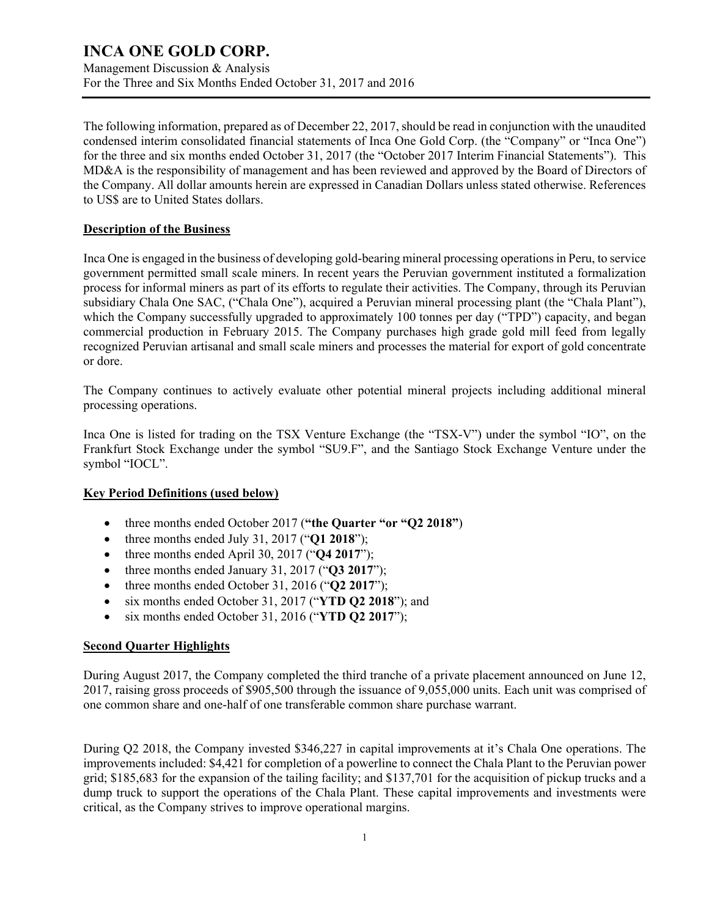Management Discussion & Analysis For the Three and Six Months Ended October 31, 2017 and 2016

The following information, prepared as of December 22, 2017, should be read in conjunction with the unaudited condensed interim consolidated financial statements of Inca One Gold Corp. (the "Company" or "Inca One") for the three and six months ended October 31, 2017 (the "October 2017 Interim Financial Statements"). This MD&A is the responsibility of management and has been reviewed and approved by the Board of Directors of the Company. All dollar amounts herein are expressed in Canadian Dollars unless stated otherwise. References to US\$ are to United States dollars.

#### **Description of the Business**

Inca One is engaged in the business of developing gold-bearing mineral processing operations in Peru, to service government permitted small scale miners. In recent years the Peruvian government instituted a formalization process for informal miners as part of its efforts to regulate their activities. The Company, through its Peruvian subsidiary Chala One SAC, ("Chala One"), acquired a Peruvian mineral processing plant (the "Chala Plant"), which the Company successfully upgraded to approximately 100 tonnes per day ("TPD") capacity, and began commercial production in February 2015. The Company purchases high grade gold mill feed from legally recognized Peruvian artisanal and small scale miners and processes the material for export of gold concentrate or dore.

The Company continues to actively evaluate other potential mineral projects including additional mineral processing operations.

Inca One is listed for trading on the TSX Venture Exchange (the "TSX-V") under the symbol "IO", on the Frankfurt Stock Exchange under the symbol "SU9.F", and the Santiago Stock Exchange Venture under the symbol "IOCL".

### **Key Period Definitions (used below)**

- three months ended October 2017 (**"the Quarter "or "Q2 2018"**)
- three months ended July 31, 2017 ("**Q1 2018**");
- three months ended April 30, 2017 ("**Q4 2017**");
- three months ended January 31, 2017 ("**Q3 2017**");
- three months ended October 31, 2016 ("**Q2 2017**");
- six months ended October 31, 2017 ("**YTD Q2 2018**"); and
- six months ended October 31, 2016 ("**YTD Q2 2017**");

### **Second Quarter Highlights**

During August 2017, the Company completed the third tranche of a private placement announced on June 12, 2017, raising gross proceeds of \$905,500 through the issuance of 9,055,000 units. Each unit was comprised of one common share and one-half of one transferable common share purchase warrant.

During Q2 2018, the Company invested \$346,227 in capital improvements at it's Chala One operations. The improvements included: \$4,421 for completion of a powerline to connect the Chala Plant to the Peruvian power grid; \$185,683 for the expansion of the tailing facility; and \$137,701 for the acquisition of pickup trucks and a dump truck to support the operations of the Chala Plant. These capital improvements and investments were critical, as the Company strives to improve operational margins.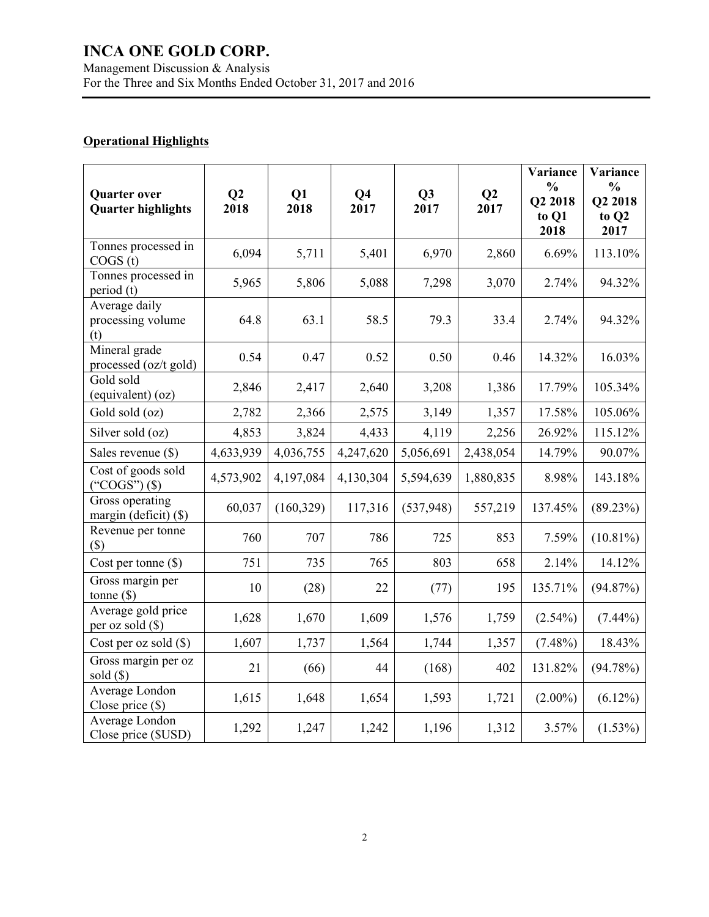Management Discussion & Analysis For the Three and Six Months Ended October 31, 2017 and 2016

### **Operational Highlights**

| <b>Quarter over</b><br><b>Quarter highlights</b>         | Q <sub>2</sub><br>2018 | Q1<br>2018 | Q4<br>2017 | Q3<br>2017 | Q2<br>2017 | Variance<br>$\frac{0}{0}$<br>Q2 2018<br>to Q1<br>2018 | Variance<br>$\frac{0}{0}$<br>Q2 2018<br>to Q2<br>2017 |
|----------------------------------------------------------|------------------------|------------|------------|------------|------------|-------------------------------------------------------|-------------------------------------------------------|
| Tonnes processed in<br>COGS(t)                           | 6,094                  | 5,711      | 5,401      | 6,970      | 2,860      | 6.69%                                                 | 113.10%                                               |
| Tonnes processed in<br>period (t)                        | 5,965                  | 5,806      | 5,088      | 7,298      | 3,070      | 2.74%                                                 | 94.32%                                                |
| Average daily<br>processing volume<br>(t)                | 64.8                   | 63.1       | 58.5       | 79.3       | 33.4       | 2.74%                                                 | 94.32%                                                |
| Mineral grade<br>processed (oz/t gold)                   | 0.54                   | 0.47       | 0.52       | 0.50       | 0.46       | 14.32%                                                | 16.03%                                                |
| Gold sold<br>(equivalent) (oz)                           | 2,846                  | 2,417      | 2,640      | 3,208      | 1,386      | 17.79%                                                | 105.34%                                               |
| Gold sold (oz)                                           | 2,782                  | 2,366      | 2,575      | 3,149      | 1,357      | 17.58%                                                | 105.06%                                               |
| Silver sold (oz)                                         | 4,853                  | 3,824      | 4,433      | 4,119      | 2,256      | 26.92%                                                | 115.12%                                               |
| Sales revenue $(\$)$                                     | 4,633,939              | 4,036,755  | 4,247,620  | 5,056,691  | 2,438,054  | 14.79%                                                | 90.07%                                                |
| Cost of goods sold<br>$\left(\text{``COGS''}\right)(\$)$ | 4,573,902              | 4,197,084  | 4,130,304  | 5,594,639  | 1,880,835  | 8.98%                                                 | 143.18%                                               |
| Gross operating<br>margin (deficit) $(\$)$               | 60,037                 | (160, 329) | 117,316    | (537, 948) | 557,219    | 137.45%                                               | (89.23%)                                              |
| Revenue per tonne<br>$(\$)$                              | 760                    | 707        | 786        | 725        | 853        | 7.59%                                                 | $(10.81\%)$                                           |
| Cost per tonne $(\$)$                                    | 751                    | 735        | 765        | 803        | 658        | 2.14%                                                 | 14.12%                                                |
| Gross margin per<br>tonne $(\$)$                         | 10                     | (28)       | 22         | (77)       | 195        | 135.71%                                               | (94.87%)                                              |
| Average gold price<br>per oz sold (\$)                   | 1,628                  | 1,670      | 1,609      | 1,576      | 1,759      | $(2.54\%)$                                            | $(7.44\%)$                                            |
| Cost per oz sold $(\$)$                                  | 1,607                  | 1,737      | 1,564      | 1,744      | 1,357      | $(7.48\%)$                                            | 18.43%                                                |
| Gross margin per oz<br>$\text{ sold } (\$)$              | 21                     | (66)       | 44         | (168)      | 402        | 131.82%                                               | (94.78%)                                              |
| Average London<br>Close price $(\$)$                     | 1,615                  | 1,648      | 1,654      | 1,593      | 1,721      | $(2.00\%)$                                            | $(6.12\%)$                                            |
| Average London<br>Close price (\$USD)                    | 1,292                  | 1,247      | 1,242      | 1,196      | 1,312      | 3.57%                                                 | $(1.53\%)$                                            |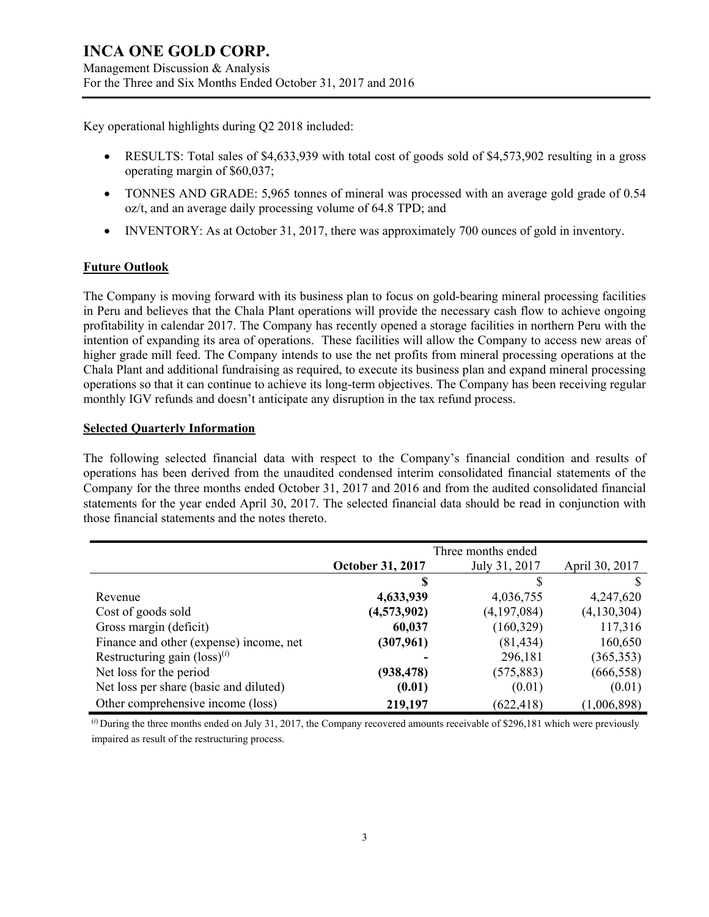Key operational highlights during Q2 2018 included:

- RESULTS: Total sales of \$4,633,939 with total cost of goods sold of \$4,573,902 resulting in a gross operating margin of \$60,037;
- TONNES AND GRADE: 5,965 tonnes of mineral was processed with an average gold grade of 0.54 oz/t, and an average daily processing volume of 64.8 TPD; and
- INVENTORY: As at October 31, 2017, there was approximately 700 ounces of gold in inventory.

### **Future Outlook**

The Company is moving forward with its business plan to focus on gold-bearing mineral processing facilities in Peru and believes that the Chala Plant operations will provide the necessary cash flow to achieve ongoing profitability in calendar 2017. The Company has recently opened a storage facilities in northern Peru with the intention of expanding its area of operations. These facilities will allow the Company to access new areas of higher grade mill feed. The Company intends to use the net profits from mineral processing operations at the Chala Plant and additional fundraising as required, to execute its business plan and expand mineral processing operations so that it can continue to achieve its long-term objectives. The Company has been receiving regular monthly IGV refunds and doesn't anticipate any disruption in the tax refund process.

#### **Selected Quarterly Information**

The following selected financial data with respect to the Company's financial condition and results of operations has been derived from the unaudited condensed interim consolidated financial statements of the Company for the three months ended October 31, 2017 and 2016 and from the audited consolidated financial statements for the year ended April 30, 2017. The selected financial data should be read in conjunction with those financial statements and the notes thereto.

|                                          | Three months ended |               |                |  |
|------------------------------------------|--------------------|---------------|----------------|--|
|                                          | October 31, 2017   | July 31, 2017 | April 30, 2017 |  |
|                                          |                    |               |                |  |
| Revenue                                  | 4,633,939          | 4,036,755     | 4,247,620      |  |
| Cost of goods sold                       | (4,573,902)        | (4,197,084)   | (4,130,304)    |  |
| Gross margin (deficit)                   | 60,037             | (160, 329)    | 117,316        |  |
| Finance and other (expense) income, net  | (307, 961)         | (81, 434)     | 160,650        |  |
| Restructuring gain $(\text{loss})^{(i)}$ |                    | 296,181       | (365, 353)     |  |
| Net loss for the period                  | (938, 478)         | (575, 883)    | (666, 558)     |  |
| Net loss per share (basic and diluted)   | (0.01)             | (0.01)        | (0.01)         |  |
| Other comprehensive income (loss)        | 219,197            | (622, 418)    | (1,006,898)    |  |

(*i*) During the three months ended on July 31, 2017, the Company recovered amounts receivable of \$296,181 which were previously impaired as result of the restructuring process.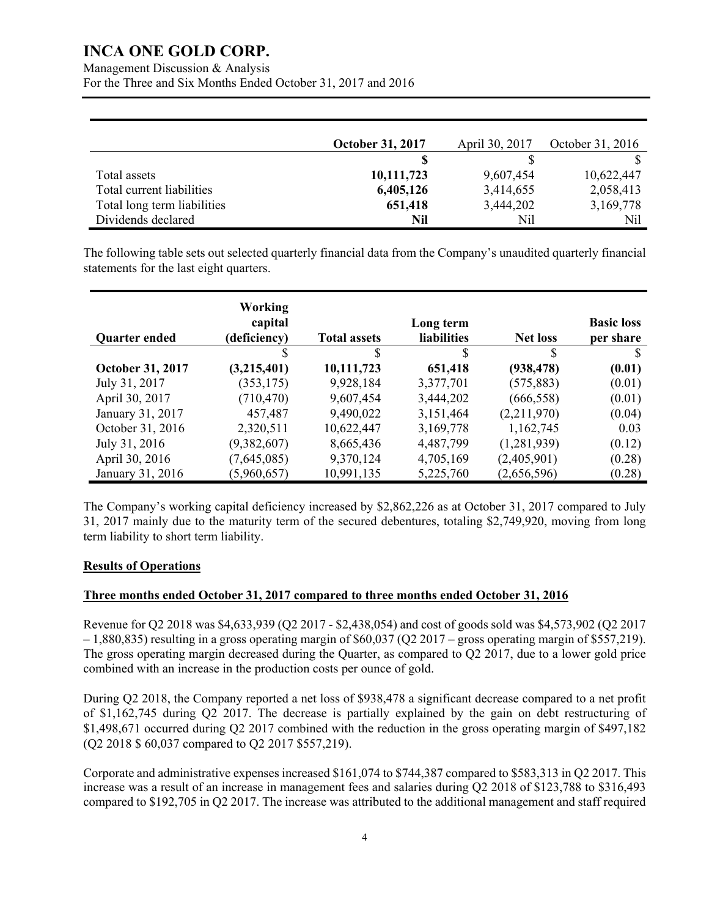Management Discussion & Analysis

For the Three and Six Months Ended October 31, 2017 and 2016

|                             | <b>October 31, 2017</b> | April 30, 2017 | October 31, 2016 |
|-----------------------------|-------------------------|----------------|------------------|
|                             |                         |                |                  |
| Total assets                | 10,111,723              | 9,607,454      | 10,622,447       |
| Total current liabilities   | 6,405,126               | 3,414,655      | 2,058,413        |
| Total long term liabilities | 651,418                 | 3,444,202      | 3,169,778        |
| Dividends declared          | Nil                     | Nil            | Nil              |

The following table sets out selected quarterly financial data from the Company's unaudited quarterly financial statements for the last eight quarters.

| <b>Quarter ended</b> | Working<br>capital<br>(deficiency) | <b>Total assets</b> | Long term<br><b>liabilities</b> | <b>Net loss</b> | <b>Basic loss</b><br>per share |
|----------------------|------------------------------------|---------------------|---------------------------------|-----------------|--------------------------------|
|                      | S                                  | \$                  | \$                              | \$              |                                |
| October 31, 2017     | (3,215,401)                        | 10,111,723          | 651,418                         | (938, 478)      | (0.01)                         |
| July 31, 2017        | (353, 175)                         | 9,928,184           | 3,377,701                       | (575, 883)      | (0.01)                         |
| April 30, 2017       | (710, 470)                         | 9,607,454           | 3,444,202                       | (666, 558)      | (0.01)                         |
| January 31, 2017     | 457,487                            | 9,490,022           | 3,151,464                       | (2,211,970)     | (0.04)                         |
| October 31, 2016     | 2,320,511                          | 10,622,447          | 3,169,778                       | 1,162,745       | 0.03                           |
| July 31, 2016        | (9,382,607)                        | 8,665,436           | 4,487,799                       | (1,281,939)     | (0.12)                         |
| April 30, 2016       | (7,645,085)                        | 9,370,124           | 4,705,169                       | (2,405,901)     | (0.28)                         |
| January 31, 2016     | (5,960,657)                        | 10,991,135          | 5,225,760                       | (2,656,596)     | (0.28)                         |

The Company's working capital deficiency increased by \$2,862,226 as at October 31, 2017 compared to July 31, 2017 mainly due to the maturity term of the secured debentures, totaling \$2,749,920, moving from long term liability to short term liability.

#### **Results of Operations**

#### **Three months ended October 31, 2017 compared to three months ended October 31, 2016**

Revenue for Q2 2018 was \$4,633,939 (Q2 2017 - \$2,438,054) and cost of goods sold was \$4,573,902 (Q2 2017  $-1,880,835$  resulting in a gross operating margin of \$60,037 (Q2 2017 – gross operating margin of \$557,219). The gross operating margin decreased during the Quarter, as compared to Q2 2017, due to a lower gold price combined with an increase in the production costs per ounce of gold.

During Q2 2018, the Company reported a net loss of \$938,478 a significant decrease compared to a net profit of \$1,162,745 during Q2 2017. The decrease is partially explained by the gain on debt restructuring of \$1,498,671 occurred during Q2 2017 combined with the reduction in the gross operating margin of \$497,182 (Q2 2018 \$ 60,037 compared to Q2 2017 \$557,219).

Corporate and administrative expenses increased \$161,074 to \$744,387 compared to \$583,313 in Q2 2017. This increase was a result of an increase in management fees and salaries during Q2 2018 of \$123,788 to \$316,493 compared to \$192,705 in Q2 2017. The increase was attributed to the additional management and staff required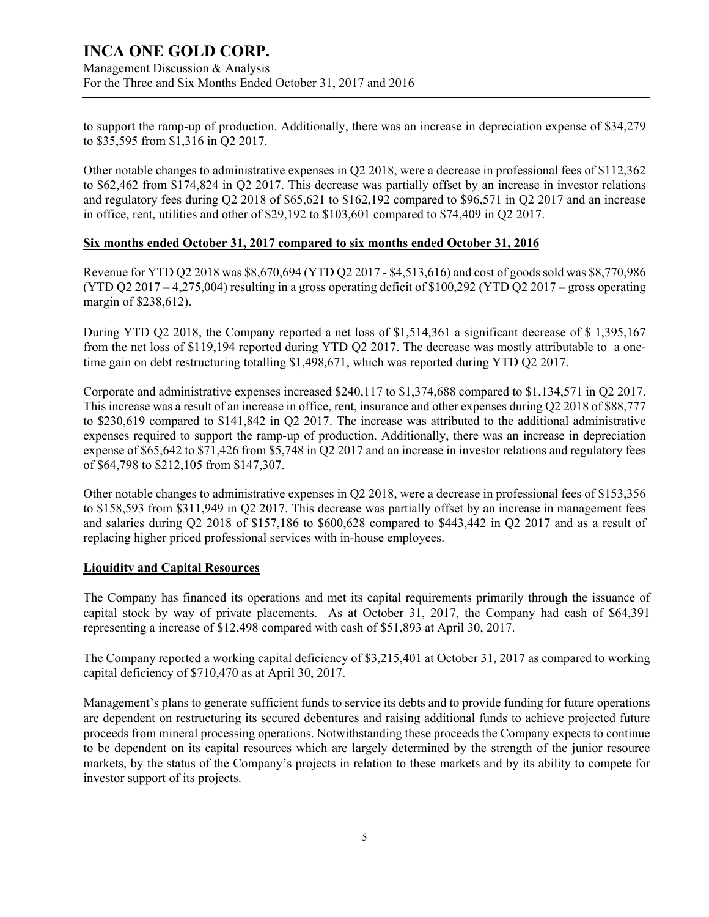### **INCA ONE GOLD CORP.**  Management Discussion & Analysis For the Three and Six Months Ended October 31, 2017 and 2016

to support the ramp-up of production. Additionally, there was an increase in depreciation expense of \$34,279 to \$35,595 from \$1,316 in Q2 2017.

Other notable changes to administrative expenses in Q2 2018, were a decrease in professional fees of \$112,362 to \$62,462 from \$174,824 in Q2 2017. This decrease was partially offset by an increase in investor relations and regulatory fees during Q2 2018 of \$65,621 to \$162,192 compared to \$96,571 in Q2 2017 and an increase in office, rent, utilities and other of \$29,192 to \$103,601 compared to \$74,409 in Q2 2017.

#### **Six months ended October 31, 2017 compared to six months ended October 31, 2016**

Revenue for YTD Q2 2018 was \$8,670,694 (YTD Q2 2017 - \$4,513,616) and cost of goods sold was \$8,770,986 (YTD Q2 2017 – 4,275,004) resulting in a gross operating deficit of \$100,292 (YTD Q2 2017 – gross operating margin of \$238,612).

During YTD Q2 2018, the Company reported a net loss of \$1,514,361 a significant decrease of \$ 1,395,167 from the net loss of \$119,194 reported during YTD Q2 2017. The decrease was mostly attributable to a onetime gain on debt restructuring totalling \$1,498,671, which was reported during YTD Q2 2017.

Corporate and administrative expenses increased \$240,117 to \$1,374,688 compared to \$1,134,571 in Q2 2017. This increase was a result of an increase in office, rent, insurance and other expenses during Q2 2018 of \$88,777 to \$230,619 compared to \$141,842 in Q2 2017. The increase was attributed to the additional administrative expenses required to support the ramp-up of production. Additionally, there was an increase in depreciation expense of \$65,642 to \$71,426 from \$5,748 in Q2 2017 and an increase in investor relations and regulatory fees of \$64,798 to \$212,105 from \$147,307.

Other notable changes to administrative expenses in Q2 2018, were a decrease in professional fees of \$153,356 to \$158,593 from \$311,949 in Q2 2017. This decrease was partially offset by an increase in management fees and salaries during Q2 2018 of \$157,186 to \$600,628 compared to \$443,442 in Q2 2017 and as a result of replacing higher priced professional services with in-house employees.

#### **Liquidity and Capital Resources**

The Company has financed its operations and met its capital requirements primarily through the issuance of capital stock by way of private placements. As at October 31, 2017, the Company had cash of \$64,391 representing a increase of \$12,498 compared with cash of \$51,893 at April 30, 2017.

The Company reported a working capital deficiency of \$3,215,401 at October 31, 2017 as compared to working capital deficiency of \$710,470 as at April 30, 2017.

Management's plans to generate sufficient funds to service its debts and to provide funding for future operations are dependent on restructuring its secured debentures and raising additional funds to achieve projected future proceeds from mineral processing operations. Notwithstanding these proceeds the Company expects to continue to be dependent on its capital resources which are largely determined by the strength of the junior resource markets, by the status of the Company's projects in relation to these markets and by its ability to compete for investor support of its projects.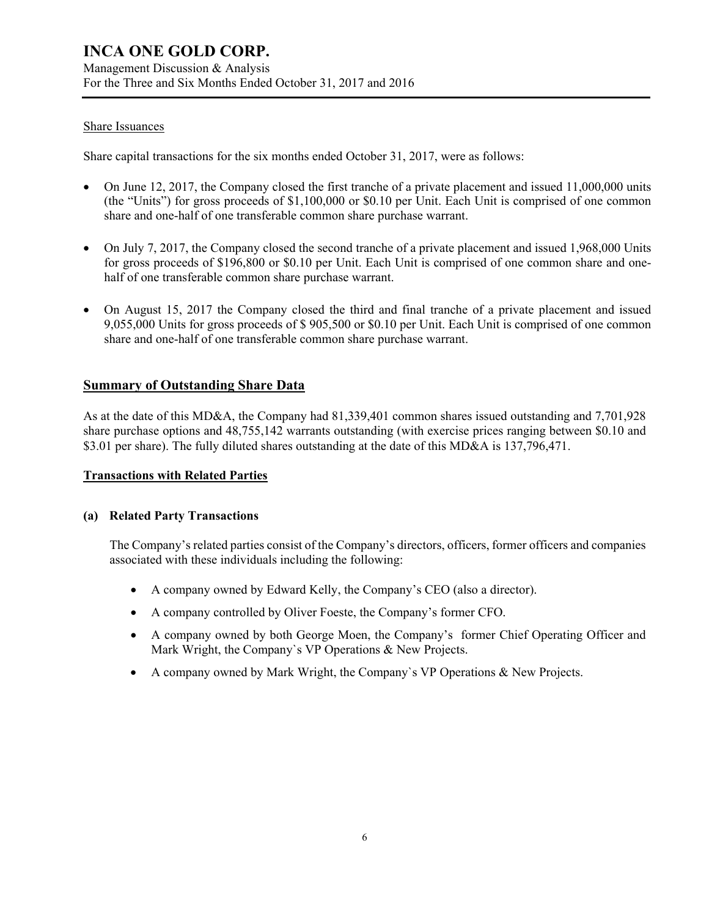#### Share Issuances

Share capital transactions for the six months ended October 31, 2017, were as follows:

- On June 12, 2017, the Company closed the first tranche of a private placement and issued 11,000,000 units (the "Units") for gross proceeds of \$1,100,000 or \$0.10 per Unit. Each Unit is comprised of one common share and one-half of one transferable common share purchase warrant.
- On July 7, 2017, the Company closed the second tranche of a private placement and issued 1,968,000 Units for gross proceeds of \$196,800 or \$0.10 per Unit. Each Unit is comprised of one common share and onehalf of one transferable common share purchase warrant.
- On August 15, 2017 the Company closed the third and final tranche of a private placement and issued 9,055,000 Units for gross proceeds of \$ 905,500 or \$0.10 per Unit. Each Unit is comprised of one common share and one-half of one transferable common share purchase warrant.

### **Summary of Outstanding Share Data**

As at the date of this MD&A, the Company had 81,339,401 common shares issued outstanding and 7,701,928 share purchase options and 48,755,142 warrants outstanding (with exercise prices ranging between \$0.10 and \$3.01 per share). The fully diluted shares outstanding at the date of this MD&A is 137,796,471.

#### **Transactions with Related Parties**

#### **(a) Related Party Transactions**

The Company's related parties consist of the Company's directors, officers, former officers and companies associated with these individuals including the following:

- A company owned by Edward Kelly, the Company's CEO (also a director).
- A company controlled by Oliver Foeste, the Company's former CFO.
- A company owned by both George Moen, the Company's former Chief Operating Officer and Mark Wright, the Company`s VP Operations & New Projects.
- A company owned by Mark Wright, the Company`s VP Operations & New Projects.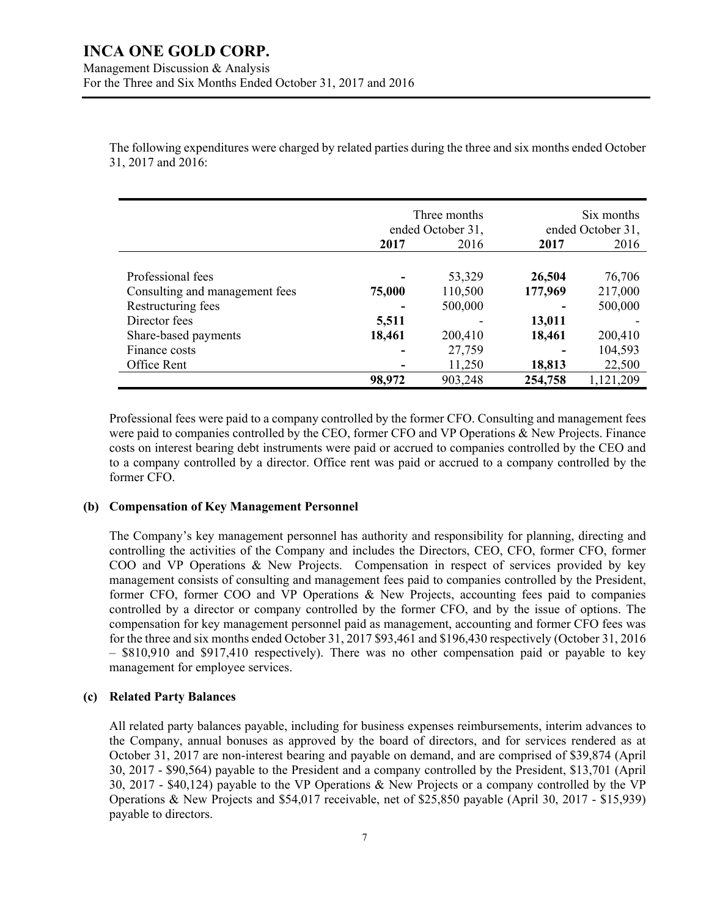The following expenditures were charged by related parties during the three and six months ended October 31, 2017 and 2016:

|                                | Three months<br>ended October 31, |         | Six months<br>ended October 31, |           |
|--------------------------------|-----------------------------------|---------|---------------------------------|-----------|
|                                | 2017                              | 2016    | 2017                            | 2016      |
|                                |                                   |         |                                 |           |
| Professional fees              |                                   | 53,329  | 26,504                          | 76,706    |
| Consulting and management fees | 75,000                            | 110,500 | 177,969                         | 217,000   |
| Restructuring fees             |                                   | 500,000 |                                 | 500,000   |
| Director fees                  | 5,511                             |         | 13,011                          |           |
| Share-based payments           | 18,461                            | 200,410 | 18,461                          | 200,410   |
| Finance costs                  |                                   | 27,759  |                                 | 104,593   |
| Office Rent                    |                                   | 11,250  | 18,813                          | 22,500    |
|                                | 98,972                            | 903,248 | 254,758                         | 1,121,209 |

Professional fees were paid to a company controlled by the former CFO. Consulting and management fees were paid to companies controlled by the CEO, former CFO and VP Operations & New Projects. Finance costs on interest bearing debt instruments were paid or accrued to companies controlled by the CEO and to a company controlled by a director. Office rent was paid or accrued to a company controlled by the former CFO.

#### **(b) Compensation of Key Management Personnel**

The Company's key management personnel has authority and responsibility for planning, directing and controlling the activities of the Company and includes the Directors, CEO, CFO, former CFO, former COO and VP Operations & New Projects. Compensation in respect of services provided by key management consists of consulting and management fees paid to companies controlled by the President, former CFO, former COO and VP Operations & New Projects, accounting fees paid to companies controlled by a director or company controlled by the former CFO, and by the issue of options. The compensation for key management personnel paid as management, accounting and former CFO fees was for the three and six months ended October 31, 2017 \$93,461 and \$196,430 respectively (October 31, 2016 – \$810,910 and \$917,410 respectively). There was no other compensation paid or payable to key management for employee services.

#### **(c) Related Party Balances**

All related party balances payable, including for business expenses reimbursements, interim advances to the Company, annual bonuses as approved by the board of directors, and for services rendered as at October 31, 2017 are non-interest bearing and payable on demand, and are comprised of \$39,874 (April 30, 2017 - \$90,564) payable to the President and a company controlled by the President, \$13,701 (April 30, 2017 - \$40,124) payable to the VP Operations & New Projects or a company controlled by the VP Operations & New Projects and \$54,017 receivable, net of \$25,850 payable (April 30, 2017 - \$15,939) payable to directors.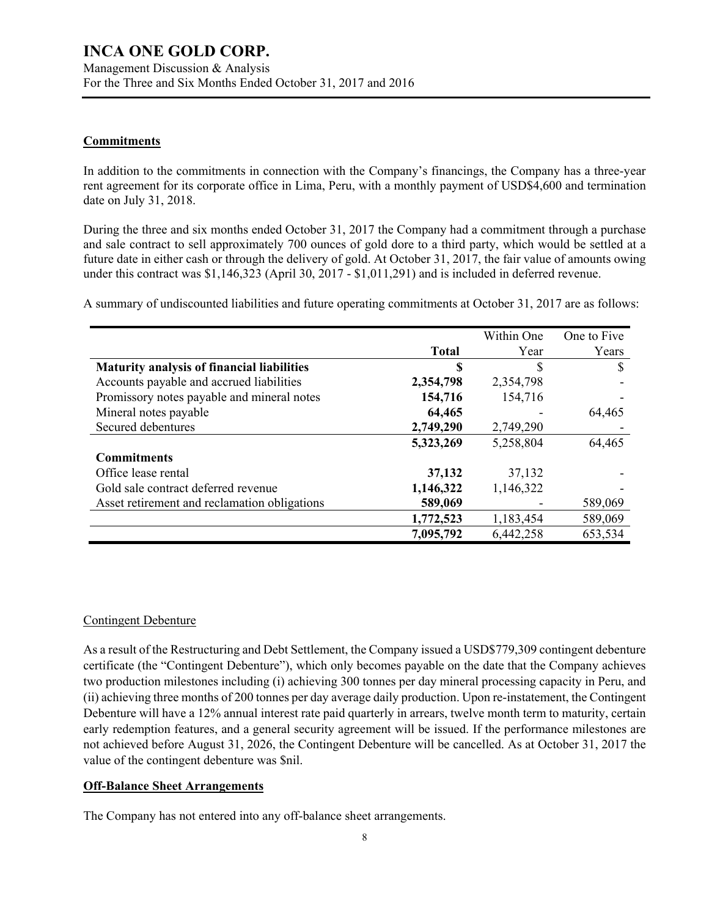#### **Commitments**

In addition to the commitments in connection with the Company's financings, the Company has a three-year rent agreement for its corporate office in Lima, Peru, with a monthly payment of USD\$4,600 and termination date on July 31, 2018.

During the three and six months ended October 31, 2017 the Company had a commitment through a purchase and sale contract to sell approximately 700 ounces of gold dore to a third party, which would be settled at a future date in either cash or through the delivery of gold. At October 31, 2017, the fair value of amounts owing under this contract was \$1,146,323 (April 30, 2017 - \$1,011,291) and is included in deferred revenue.

A summary of undiscounted liabilities and future operating commitments at October 31, 2017 are as follows:

|                                                   |              | Within One | One to Five |
|---------------------------------------------------|--------------|------------|-------------|
|                                                   | <b>Total</b> | Year       | Years       |
| <b>Maturity analysis of financial liabilities</b> | S            | S          | S           |
| Accounts payable and accrued liabilities          | 2,354,798    | 2,354,798  |             |
| Promissory notes payable and mineral notes        | 154,716      | 154,716    |             |
| Mineral notes payable                             | 64,465       |            | 64,465      |
| Secured debentures                                | 2,749,290    | 2,749,290  |             |
|                                                   | 5,323,269    | 5,258,804  | 64,465      |
| <b>Commitments</b>                                |              |            |             |
| Office lease rental                               | 37,132       | 37,132     |             |
| Gold sale contract deferred revenue               | 1,146,322    | 1,146,322  |             |
| Asset retirement and reclamation obligations      | 589,069      |            | 589,069     |
|                                                   | 1,772,523    | 1,183,454  | 589,069     |
|                                                   | 7,095,792    | 6,442,258  | 653,534     |

#### Contingent Debenture

As a result of the Restructuring and Debt Settlement, the Company issued a USD\$779,309 contingent debenture certificate (the "Contingent Debenture"), which only becomes payable on the date that the Company achieves two production milestones including (i) achieving 300 tonnes per day mineral processing capacity in Peru, and (ii) achieving three months of 200 tonnes per day average daily production. Upon re-instatement, the Contingent Debenture will have a 12% annual interest rate paid quarterly in arrears, twelve month term to maturity, certain early redemption features, and a general security agreement will be issued. If the performance milestones are not achieved before August 31, 2026, the Contingent Debenture will be cancelled. As at October 31, 2017 the value of the contingent debenture was \$nil.

#### **Off-Balance Sheet Arrangements**

The Company has not entered into any off-balance sheet arrangements.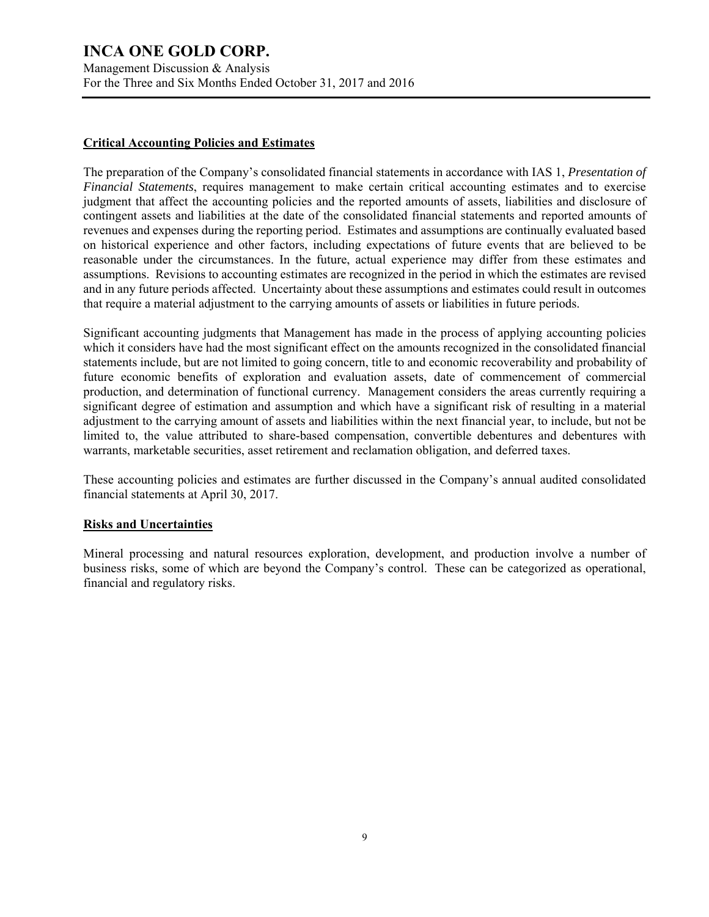Management Discussion & Analysis For the Three and Six Months Ended October 31, 2017 and 2016

#### **Critical Accounting Policies and Estimates**

The preparation of the Company's consolidated financial statements in accordance with IAS 1, *Presentation of Financial Statements*, requires management to make certain critical accounting estimates and to exercise judgment that affect the accounting policies and the reported amounts of assets, liabilities and disclosure of contingent assets and liabilities at the date of the consolidated financial statements and reported amounts of revenues and expenses during the reporting period. Estimates and assumptions are continually evaluated based on historical experience and other factors, including expectations of future events that are believed to be reasonable under the circumstances. In the future, actual experience may differ from these estimates and assumptions. Revisions to accounting estimates are recognized in the period in which the estimates are revised and in any future periods affected. Uncertainty about these assumptions and estimates could result in outcomes that require a material adjustment to the carrying amounts of assets or liabilities in future periods.

Significant accounting judgments that Management has made in the process of applying accounting policies which it considers have had the most significant effect on the amounts recognized in the consolidated financial statements include, but are not limited to going concern, title to and economic recoverability and probability of future economic benefits of exploration and evaluation assets, date of commencement of commercial production, and determination of functional currency. Management considers the areas currently requiring a significant degree of estimation and assumption and which have a significant risk of resulting in a material adjustment to the carrying amount of assets and liabilities within the next financial year, to include, but not be limited to, the value attributed to share-based compensation, convertible debentures and debentures with warrants, marketable securities, asset retirement and reclamation obligation, and deferred taxes.

These accounting policies and estimates are further discussed in the Company's annual audited consolidated financial statements at April 30, 2017.

#### **Risks and Uncertainties**

Mineral processing and natural resources exploration, development, and production involve a number of business risks, some of which are beyond the Company's control. These can be categorized as operational, financial and regulatory risks.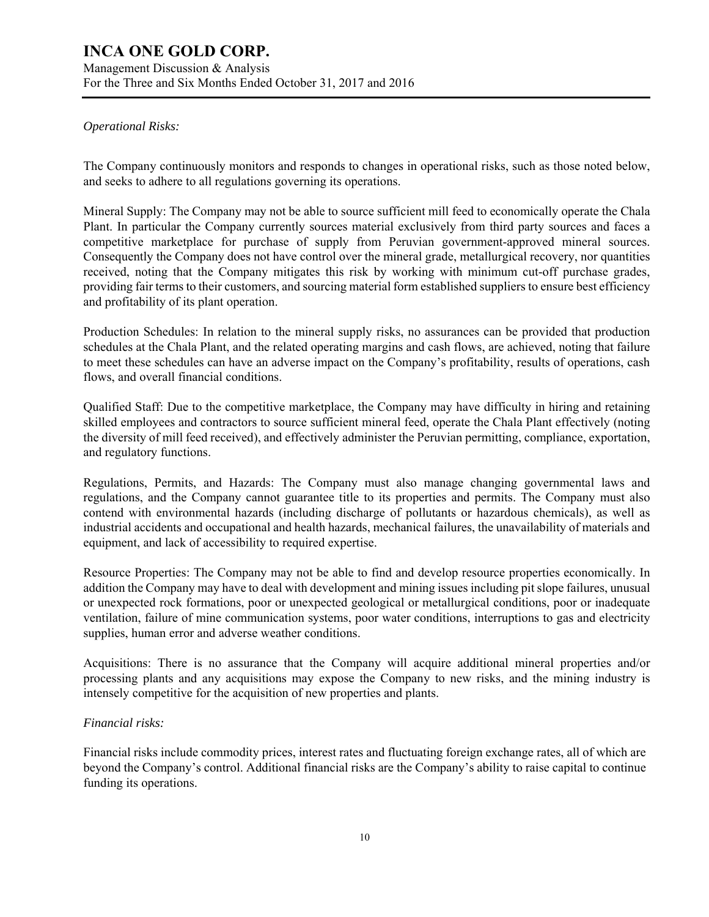Management Discussion & Analysis For the Three and Six Months Ended October 31, 2017 and 2016

#### *Operational Risks:*

The Company continuously monitors and responds to changes in operational risks, such as those noted below, and seeks to adhere to all regulations governing its operations.

Mineral Supply: The Company may not be able to source sufficient mill feed to economically operate the Chala Plant. In particular the Company currently sources material exclusively from third party sources and faces a competitive marketplace for purchase of supply from Peruvian government-approved mineral sources. Consequently the Company does not have control over the mineral grade, metallurgical recovery, nor quantities received, noting that the Company mitigates this risk by working with minimum cut-off purchase grades, providing fair terms to their customers, and sourcing material form established suppliers to ensure best efficiency and profitability of its plant operation.

Production Schedules: In relation to the mineral supply risks, no assurances can be provided that production schedules at the Chala Plant, and the related operating margins and cash flows, are achieved, noting that failure to meet these schedules can have an adverse impact on the Company's profitability, results of operations, cash flows, and overall financial conditions.

Qualified Staff: Due to the competitive marketplace, the Company may have difficulty in hiring and retaining skilled employees and contractors to source sufficient mineral feed, operate the Chala Plant effectively (noting the diversity of mill feed received), and effectively administer the Peruvian permitting, compliance, exportation, and regulatory functions.

Regulations, Permits, and Hazards: The Company must also manage changing governmental laws and regulations, and the Company cannot guarantee title to its properties and permits. The Company must also contend with environmental hazards (including discharge of pollutants or hazardous chemicals), as well as industrial accidents and occupational and health hazards, mechanical failures, the unavailability of materials and equipment, and lack of accessibility to required expertise.

Resource Properties: The Company may not be able to find and develop resource properties economically. In addition the Company may have to deal with development and mining issues including pit slope failures, unusual or unexpected rock formations, poor or unexpected geological or metallurgical conditions, poor or inadequate ventilation, failure of mine communication systems, poor water conditions, interruptions to gas and electricity supplies, human error and adverse weather conditions.

Acquisitions: There is no assurance that the Company will acquire additional mineral properties and/or processing plants and any acquisitions may expose the Company to new risks, and the mining industry is intensely competitive for the acquisition of new properties and plants.

#### *Financial risks:*

Financial risks include commodity prices, interest rates and fluctuating foreign exchange rates, all of which are beyond the Company's control. Additional financial risks are the Company's ability to raise capital to continue funding its operations.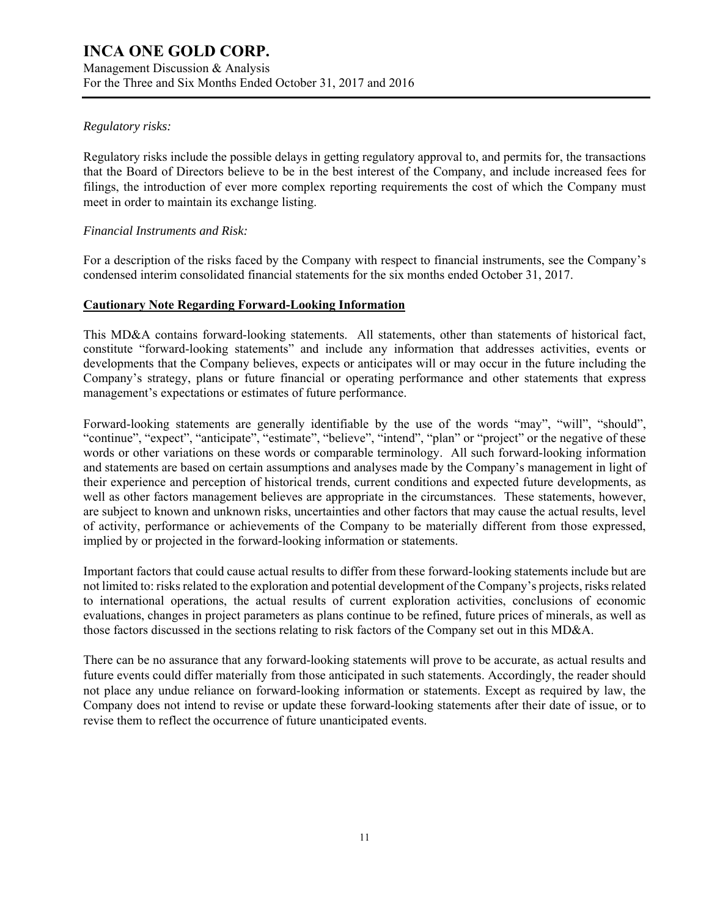Management Discussion & Analysis For the Three and Six Months Ended October 31, 2017 and 2016

#### *Regulatory risks:*

Regulatory risks include the possible delays in getting regulatory approval to, and permits for, the transactions that the Board of Directors believe to be in the best interest of the Company, and include increased fees for filings, the introduction of ever more complex reporting requirements the cost of which the Company must meet in order to maintain its exchange listing.

#### *Financial Instruments and Risk:*

For a description of the risks faced by the Company with respect to financial instruments, see the Company's condensed interim consolidated financial statements for the six months ended October 31, 2017.

#### **Cautionary Note Regarding Forward-Looking Information**

This MD&A contains forward-looking statements. All statements, other than statements of historical fact, constitute "forward-looking statements" and include any information that addresses activities, events or developments that the Company believes, expects or anticipates will or may occur in the future including the Company's strategy, plans or future financial or operating performance and other statements that express management's expectations or estimates of future performance.

Forward-looking statements are generally identifiable by the use of the words "may", "will", "should", "continue", "expect", "anticipate", "estimate", "believe", "intend", "plan" or "project" or the negative of these words or other variations on these words or comparable terminology. All such forward-looking information and statements are based on certain assumptions and analyses made by the Company's management in light of their experience and perception of historical trends, current conditions and expected future developments, as well as other factors management believes are appropriate in the circumstances. These statements, however, are subject to known and unknown risks, uncertainties and other factors that may cause the actual results, level of activity, performance or achievements of the Company to be materially different from those expressed, implied by or projected in the forward-looking information or statements.

Important factors that could cause actual results to differ from these forward-looking statements include but are not limited to: risks related to the exploration and potential development of the Company's projects, risks related to international operations, the actual results of current exploration activities, conclusions of economic evaluations, changes in project parameters as plans continue to be refined, future prices of minerals, as well as those factors discussed in the sections relating to risk factors of the Company set out in this MD&A.

There can be no assurance that any forward-looking statements will prove to be accurate, as actual results and future events could differ materially from those anticipated in such statements. Accordingly, the reader should not place any undue reliance on forward-looking information or statements. Except as required by law, the Company does not intend to revise or update these forward-looking statements after their date of issue, or to revise them to reflect the occurrence of future unanticipated events.